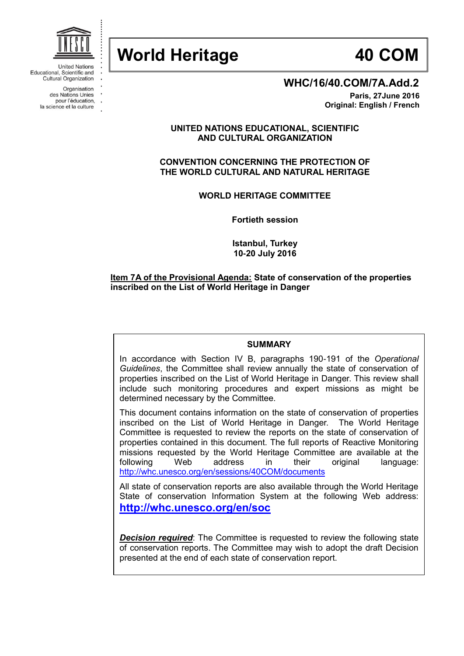

**United Nations** Educational, Scientific and **Cultural Organization** 

> Organisation des Nations Unies pour l'éducation,

la science et la culture

**WHC/16/40.COM/7A.Add.2**

**Paris, 27June 2016 Original: English / French**

**UNITED NATIONS EDUCATIONAL, SCIENTIFIC AND CULTURAL ORGANIZATION**

**CONVENTION CONCERNING THE PROTECTION OF THE WORLD CULTURAL AND NATURAL HERITAGE**

**WORLD HERITAGE COMMITTEE**

**Fortieth session**

**Istanbul, Turkey 10-20 July 2016**

### **Item 7A of the Provisional Agenda: State of conservation of the properties inscribed on the List of World Heritage in Danger**

#### **SUMMARY**

In accordance with Section IV B, paragraphs 190-191 of the *Operational Guidelines*, the Committee shall review annually the state of conservation of properties inscribed on the List of World Heritage in Danger. This review shall include such monitoring procedures and expert missions as might be determined necessary by the Committee.

This document contains information on the state of conservation of properties inscribed on the List of World Heritage in Danger. The World Heritage Committee is requested to review the reports on the state of conservation of properties contained in this document. The full reports of Reactive Monitoring missions requested by the World Heritage Committee are available at the following Web address in their original language: [http://whc.unesco.org/en/sessions/40COM/d](http://whc.unesco.org/en/sessions/40COM/)ocuments

All state of conservation reports are also available through the World Heritage State of conservation Information System at the following Web address: **<http://whc.unesco.org/en/soc>**

**Decision required**: The Committee is requested to review the following state of conservation reports. The Committee may wish to adopt the draft Decision presented at the end of each state of conservation report.

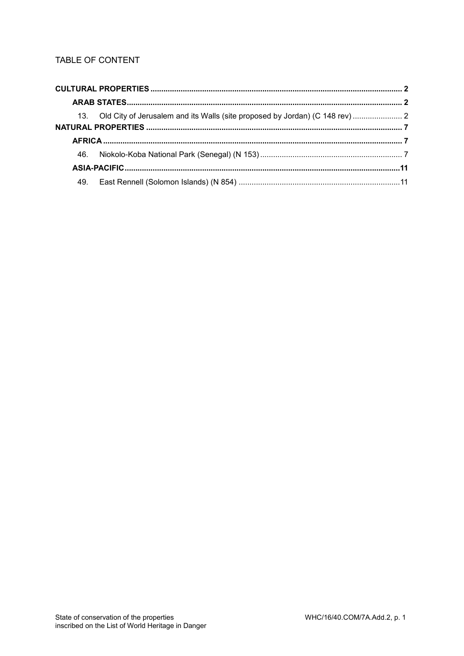# TABLE OF CONTENT

|  | 13. Old City of Jerusalem and its Walls (site proposed by Jordan) (C 148 rev) |  |
|--|-------------------------------------------------------------------------------|--|
|  |                                                                               |  |
|  |                                                                               |  |
|  |                                                                               |  |
|  |                                                                               |  |
|  |                                                                               |  |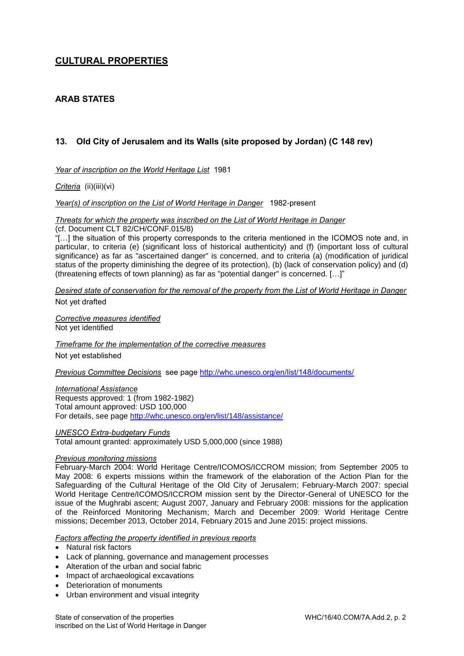# <span id="page-2-0"></span>**CULTURAL PROPERTIES**

# <span id="page-2-1"></span>**ARAB STATES**

# <span id="page-2-2"></span>**13. Old City of Jerusalem and its Walls (site proposed by Jordan) (C 148 rev)**

*Year of inscription on the World Heritage List* 1981

*Criteria* (ii)(iii)(vi)

*Year(s) of inscription on the List of World Heritage in Danger* 1982-present

*Threats for which the property was inscribed on the List of World Heritage in Danger*

(cf. Document CLT 82/CH/CONF.015/8)

"[…] the situation of this property corresponds to the criteria mentioned in the ICOMOS note and, in particular, to criteria (e) (significant loss of historical authenticity) and (f) (important loss of cultural significance) as far as "ascertained danger" is concerned, and to criteria (a) (modification of juridical status of the property diminishing the degree of its protection), (b) (lack of conservation policy) and (d) (threatening effects of town planning) as far as "potential danger" is concerned. […]"

*Desired state of conservation for the removal of the property from the List of World Heritage in Danger*  Not yet drafted

*Corrective measures identified*  Not yet identified

*Timeframe for the implementation of the corrective measures*  Not yet established

*Previous Committee Decisions* see page [http://whc.unesco.org/en/list/148/documents/](http://whc.unesco.org/en/list/148/documents)

#### *International Assistance*

Requests approved: 1 (from 1982-1982) Total amount approved: USD 100,000 For details, see page [http://whc.unesco.org/en/list/148/assistance/](http://whc.unesco.org/en/list/148/assistance)

#### *UNESCO Extra-budgetary Funds*

Total amount granted: approximately USD 5,000,000 (since 1988)

#### *Previous monitoring missions*

February-March 2004: World Heritage Centre/ICOMOS/ICCROM mission; from September 2005 to May 2008: 6 experts missions within the framework of the elaboration of the Action Plan for the Safeguarding of the Cultural Heritage of the Old City of Jerusalem; February-March 2007: special World Heritage Centre/ICOMOS/ICCROM mission sent by the Director-General of UNESCO for the issue of the Mughrabi ascent; August 2007, January and February 2008: missions for the application of the Reinforced Monitoring Mechanism; March and December 2009: World Heritage Centre missions; December 2013, October 2014, February 2015 and June 2015: project missions.

#### *Factors affecting the property identified in previous reports*

- Natural risk factors
- Lack of planning, governance and management processes
- Alteration of the urban and social fabric
- Impact of archaeological excavations
- Deterioration of monuments
- Urban environment and visual integrity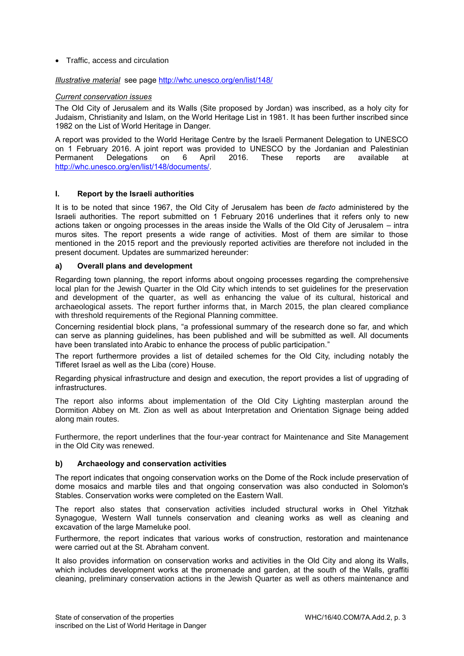#### • Traffic, access and circulation

#### *Illustrative material* see page<http://whc.unesco.org/en/list/148/>

#### *Current conservation issues*

The Old City of Jerusalem and its Walls (Site proposed by Jordan) was inscribed, as a holy city for Judaism, Christianity and Islam, on the World Heritage List in 1981. It has been further inscribed since 1982 on the List of World Heritage in Danger.

A report was provided to the World Heritage Centre by the Israeli Permanent Delegation to UNESCO on 1 February 2016. A joint report was provided to UNESCO by the Jordanian and Palestinian Permanent Delegations on 6 April 2016. These reports are available at [http://whc.unesco.org/en/list/148/documents/.](http://whc.unesco.org/en/list/148/documents/)

#### **I. Report by the Israeli authorities**

It is to be noted that since 1967, the Old City of Jerusalem has been *de facto* administered by the Israeli authorities. The report submitted on 1 February 2016 underlines that it refers only to new actions taken or ongoing processes in the areas inside the Walls of the Old City of Jerusalem – intra muros sites. The report presents a wide range of activities. Most of them are similar to those mentioned in the 2015 report and the previously reported activities are therefore not included in the present document. Updates are summarized hereunder:

#### **a) Overall plans and development**

Regarding town planning, the report informs about ongoing processes regarding the comprehensive local plan for the Jewish Quarter in the Old City which intends to set guidelines for the preservation and development of the quarter, as well as enhancing the value of its cultural, historical and archaeological assets. The report further informs that, in March 2015, the plan cleared compliance with threshold requirements of the Regional Planning committee.

Concerning residential block plans, "a professional summary of the research done so far, and which can serve as planning guidelines, has been published and will be submitted as well. All documents have been translated into Arabic to enhance the process of public participation."

The report furthermore provides a list of detailed schemes for the Old City, including notably the Tifferet Israel as well as the Liba (core) House.

Regarding physical infrastructure and design and execution, the report provides a list of upgrading of infrastructures.

The report also informs about implementation of the Old City Lighting masterplan around the Dormition Abbey on Mt. Zion as well as about Interpretation and Orientation Signage being added along main routes.

Furthermore, the report underlines that the four-year contract for Maintenance and Site Management in the Old City was renewed.

## **b) Archaeology and conservation activities**

The report indicates that ongoing conservation works on the Dome of the Rock include preservation of dome mosaics and marble tiles and that ongoing conservation was also conducted in Solomon's Stables. Conservation works were completed on the Eastern Wall.

The report also states that conservation activities included structural works in Ohel Yitzhak Synagogue, Western Wall tunnels conservation and cleaning works as well as cleaning and excavation of the large Mameluke pool.

Furthermore, the report indicates that various works of construction, restoration and maintenance were carried out at the St. Abraham convent.

It also provides information on conservation works and activities in the Old City and along its Walls, which includes development works at the promenade and garden, at the south of the Walls, graffiti cleaning, preliminary conservation actions in the Jewish Quarter as well as others maintenance and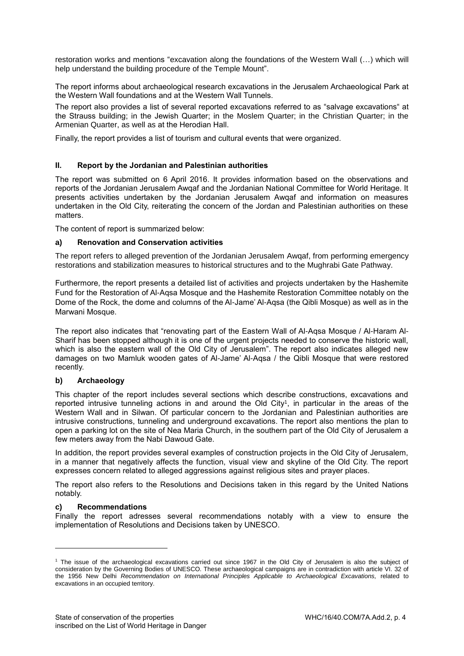restoration works and mentions "excavation along the foundations of the Western Wall (…) which will help understand the building procedure of the Temple Mount".

The report informs about archaeological research excavations in the Jerusalem Archaeological Park at the Western Wall foundations and at the Western Wall Tunnels.

The report also provides a list of several reported excavations referred to as "salvage excavations" at the Strauss building; in the Jewish Quarter; in the Moslem Quarter; in the Christian Quarter; in the Armenian Quarter, as well as at the Herodian Hall.

Finally, the report provides a list of tourism and cultural events that were organized.

#### **II. Report by the Jordanian and Palestinian authorities**

The report was submitted on 6 April 2016. It provides information based on the observations and reports of the Jordanian Jerusalem Awqaf and the Jordanian National Committee for World Heritage. It presents activities undertaken by the Jordanian Jerusalem Awqaf and information on measures undertaken in the Old City, reiterating the concern of the Jordan and Palestinian authorities on these matters.

The content of report is summarized below:

#### **a) Renovation and Conservation activities**

The report refers to alleged prevention of the Jordanian Jerusalem Awqaf, from performing emergency restorations and stabilization measures to historical structures and to the Mughrabi Gate Pathway.

Furthermore, the report presents a detailed list of activities and projects undertaken by the Hashemite Fund for the Restoration of Al-Aqsa Mosque and the Hashemite Restoration Committee notably on the Dome of the Rock, the dome and columns of the Al-Jame' Al-Aqsa (the Qibli Mosque) as well as in the Marwani Mosque.

The report also indicates that "renovating part of the Eastern Wall of Al-Aqsa Mosque / Al-Haram Al-Sharif has been stopped although it is one of the urgent projects needed to conserve the historic wall, which is also the eastern wall of the Old City of Jerusalem". The report also indicates alleged new damages on two Mamluk wooden gates of Al-Jame' Al-Aqsa / the Qibli Mosque that were restored recently.

#### **b) Archaeology**

This chapter of the report includes several sections which describe constructions, excavations and reported intrusive tunneling actions in and around the Old City<sup>1</sup>, in particular in the areas of the Western Wall and in Silwan. Of particular concern to the Jordanian and Palestinian authorities are intrusive constructions, tunneling and underground excavations. The report also mentions the plan to open a parking lot on the site of Nea Maria Church, in the southern part of the Old City of Jerusalem a few meters away from the Nabi Dawoud Gate.

In addition, the report provides several examples of construction projects in the Old City of Jerusalem, in a manner that negatively affects the function, visual view and skyline of the Old City. The report expresses concern related to alleged aggressions against religious sites and prayer places.

The report also refers to the Resolutions and Decisions taken in this regard by the United Nations notably.

#### **c) Recommendations**

l

Finally the report adresses several recommendations notably with a view to ensure the implementation of Resolutions and Decisions taken by UNESCO.

<sup>1</sup> The issue of the archaeological excavations carried out since 1967 in the Old City of Jerusalem is also the subject of consideration by the Governing Bodies of UNESCO. These archaeological campaigns are in contradiction with article VI. 32 of the 1956 New Delhi *Recommendation on International Principles Applicable to Archaeological Excavations,* related to excavations in an occupied territory.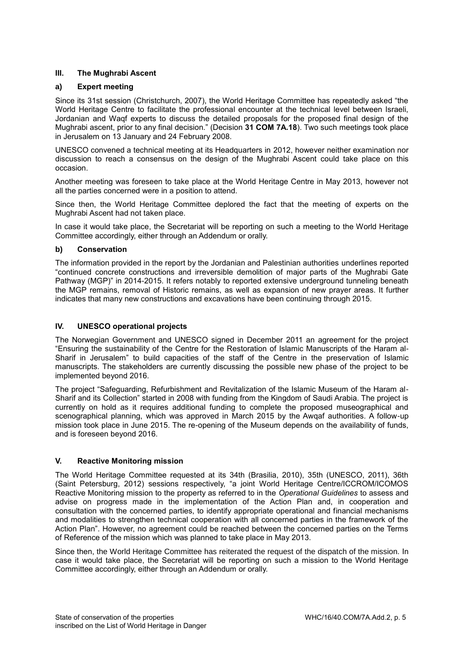#### **III. The Mughrabi Ascent**

#### **a) Expert meeting**

Since its 31st session (Christchurch, 2007), the World Heritage Committee has repeatedly asked "the World Heritage Centre to facilitate the professional encounter at the technical level between Israeli, Jordanian and Waqf experts to discuss the detailed proposals for the proposed final design of the Mughrabi ascent, prior to any final decision." (Decision **31 COM 7A.18**). Two such meetings took place in Jerusalem on 13 January and 24 February 2008.

UNESCO convened a technical meeting at its Headquarters in 2012, however neither examination nor discussion to reach a consensus on the design of the Mughrabi Ascent could take place on this occasion.

Another meeting was foreseen to take place at the World Heritage Centre in May 2013, however not all the parties concerned were in a position to attend.

Since then, the World Heritage Committee deplored the fact that the meeting of experts on the Mughrabi Ascent had not taken place.

In case it would take place, the Secretariat will be reporting on such a meeting to the World Heritage Committee accordingly, either through an Addendum or orally.

#### **b) Conservation**

The information provided in the report by the Jordanian and Palestinian authorities underlines reported "continued concrete constructions and irreversible demolition of major parts of the Mughrabi Gate Pathway (MGP)" in 2014-2015. It refers notably to reported extensive underground tunneling beneath the MGP remains, removal of Historic remains, as well as expansion of new prayer areas. It further indicates that many new constructions and excavations have been continuing through 2015.

#### **IV. UNESCO operational projects**

The Norwegian Government and UNESCO signed in December 2011 an agreement for the project "Ensuring the sustainability of the Centre for the Restoration of Islamic Manuscripts of the Haram al-Sharif in Jerusalem" to build capacities of the staff of the Centre in the preservation of Islamic manuscripts. The stakeholders are currently discussing the possible new phase of the project to be implemented beyond 2016.

The project "Safeguarding, Refurbishment and Revitalization of the Islamic Museum of the Haram al-Sharif and its Collection" started in 2008 with funding from the Kingdom of Saudi Arabia. The project is currently on hold as it requires additional funding to complete the proposed museographical and scenographical planning, which was approved in March 2015 by the Awqaf authorities. A follow-up mission took place in June 2015. The re-opening of the Museum depends on the availability of funds, and is foreseen beyond 2016.

#### **V. Reactive Monitoring mission**

The World Heritage Committee requested at its 34th (Brasilia, 2010), 35th (UNESCO, 2011), 36th (Saint Petersburg, 2012) sessions respectively, "a joint World Heritage Centre/ICCROM/ICOMOS Reactive Monitoring mission to the property as referred to in the *Operational Guidelines* to assess and advise on progress made in the implementation of the Action Plan and, in cooperation and consultation with the concerned parties, to identify appropriate operational and financial mechanisms and modalities to strengthen technical cooperation with all concerned parties in the framework of the Action Plan". However, no agreement could be reached between the concerned parties on the Terms of Reference of the mission which was planned to take place in May 2013.

Since then, the World Heritage Committee has reiterated the request of the dispatch of the mission. In case it would take place, the Secretariat will be reporting on such a mission to the World Heritage Committee accordingly, either through an Addendum or orally.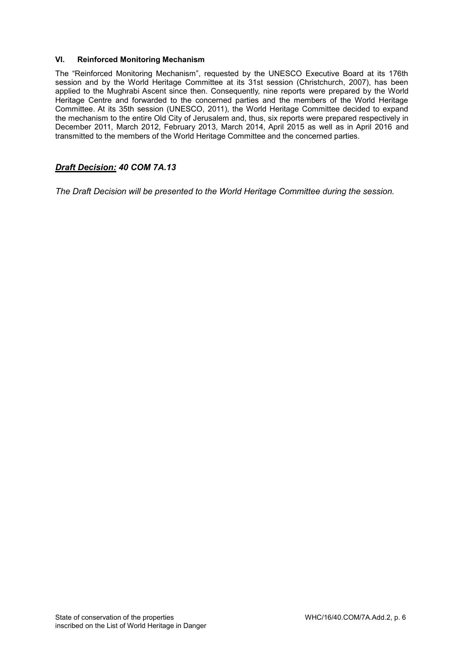#### **VI. Reinforced Monitoring Mechanism**

The "Reinforced Monitoring Mechanism", requested by the UNESCO Executive Board at its 176th session and by the World Heritage Committee at its 31st session (Christchurch, 2007), has been applied to the Mughrabi Ascent since then. Consequently, nine reports were prepared by the World Heritage Centre and forwarded to the concerned parties and the members of the World Heritage Committee. At its 35th session (UNESCO, 2011), the World Heritage Committee decided to expand the mechanism to the entire Old City of Jerusalem and, thus, six reports were prepared respectively in December 2011, March 2012, February 2013, March 2014, April 2015 as well as in April 2016 and transmitted to the members of the World Heritage Committee and the concerned parties.

## *Draft Decision: 40 COM 7A.13*

*The Draft Decision will be presented to the World Heritage Committee during the session.*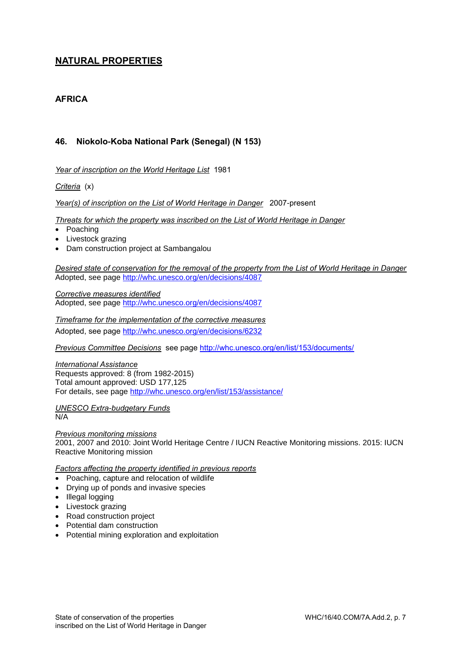# <span id="page-7-0"></span>**NATURAL PROPERTIES**

# <span id="page-7-1"></span>**AFRICA**

# <span id="page-7-2"></span>**46. Niokolo-Koba National Park (Senegal) (N 153)**

*Year of inscription on the World Heritage List* 1981

*Criteria* (x)

*Year(s) of inscription on the List of World Heritage in Danger* 2007-present

*Threats for which the property was inscribed on the List of World Heritage in Danger*

- Poaching
- Livestock grazing
- Dam construction project at Sambangalou

*Desired state of conservation for the removal of the property from the List of World Heritage in Danger*  Adopted, see page<http://whc.unesco.org/en/decisions/4087>

*Corrective measures identified*  Adopted, see page<http://whc.unesco.org/en/decisions/4087>

*Timeframe for the implementation of the corrective measures*  Adopted, see page<http://whc.unesco.org/en/decisions/6232>

*Previous Committee Decisions* see page [http://whc.unesco.org/en/list/153/documents/](http://whc.unesco.org/en/list/153/documents)

*International Assistance*  Requests approved: 8 (from 1982-2015) Total amount approved: USD 177,125 For details, see page [http://whc.unesco.org/en/list/153/assistance/](http://whc.unesco.org/en/list/153/assistance)

*UNESCO Extra-budgetary Funds*  N/A

*Previous monitoring missions*  2001, 2007 and 2010: Joint World Heritage Centre / IUCN Reactive Monitoring missions. 2015: IUCN Reactive Monitoring mission

*Factors affecting the property identified in previous reports* 

- Poaching, capture and relocation of wildlife
- Drying up of ponds and invasive species
- Illegal logging
- Livestock grazing
- Road construction project
- Potential dam construction
- Potential mining exploration and exploitation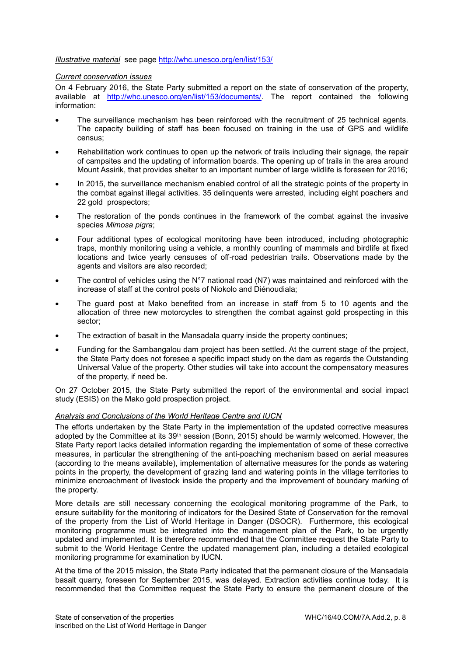#### *Illustrative material* see page<http://whc.unesco.org/en/list/153/>

#### *Current conservation issues*

On 4 February 2016, the State Party submitted a report on the state of conservation of the property, available at [http://whc.unesco.org/en/list/153/documents/.](http://whc.unesco.org/en/list/153/documents/) The report contained the following information:

- The surveillance mechanism has been reinforced with the recruitment of 25 technical agents. The capacity building of staff has been focused on training in the use of GPS and wildlife census;
- Rehabilitation work continues to open up the network of trails including their signage, the repair of campsites and the updating of information boards. The opening up of trails in the area around Mount Assirik, that provides shelter to an important number of large wildlife is foreseen for 2016;
- In 2015, the surveillance mechanism enabled control of all the strategic points of the property in the combat against illegal activities. 35 delinquents were arrested, including eight poachers and 22 gold prospectors;
- The restoration of the ponds continues in the framework of the combat against the invasive species *Mimosa pigra*;
- Four additional types of ecological monitoring have been introduced, including photographic traps, monthly monitoring using a vehicle, a monthly counting of mammals and birdlife at fixed locations and twice yearly censuses of off-road pedestrian trails. Observations made by the agents and visitors are also recorded;
- The control of vehicles using the N°7 national road (N7) was maintained and reinforced with the increase of staff at the control posts of Niokolo and Diénoudiala;
- The guard post at Mako benefited from an increase in staff from 5 to 10 agents and the allocation of three new motorcycles to strengthen the combat against gold prospecting in this sector;
- The extraction of basalt in the Mansadala quarry inside the property continues;
- Funding for the Sambangalou dam project has been settled. At the current stage of the project, the State Party does not foresee a specific impact study on the dam as regards the Outstanding Universal Value of the property. Other studies will take into account the compensatory measures of the property, if need be.

On 27 October 2015, the State Party submitted the report of the environmental and social impact study (ESIS) on the Mako gold prospection project.

#### *Analysis and Conclusions of the World Heritage Centre and IUCN*

The efforts undertaken by the State Party in the implementation of the updated corrective measures adopted by the Committee at its 39<sup>th</sup> session (Bonn, 2015) should be warmly welcomed. However, the State Party report lacks detailed information regarding the implementation of some of these corrective measures, in particular the strengthening of the anti-poaching mechanism based on aerial measures (according to the means available), implementation of alternative measures for the ponds as watering points in the property, the development of grazing land and watering points in the village territories to minimize encroachment of livestock inside the property and the improvement of boundary marking of the property.

More details are still necessary concerning the ecological monitoring programme of the Park, to ensure suitability for the monitoring of indicators for the Desired State of Conservation for the removal of the property from the List of World Heritage in Danger (DSOCR). Furthermore, this ecological monitoring programme must be integrated into the management plan of the Park, to be urgently updated and implemented. It is therefore recommended that the Committee request the State Party to submit to the World Heritage Centre the updated management plan, including a detailed ecological monitoring programme for examination by IUCN.

At the time of the 2015 mission, the State Party indicated that the permanent closure of the Mansadala basalt quarry, foreseen for September 2015, was delayed. Extraction activities continue today. It is recommended that the Committee request the State Party to ensure the permanent closure of the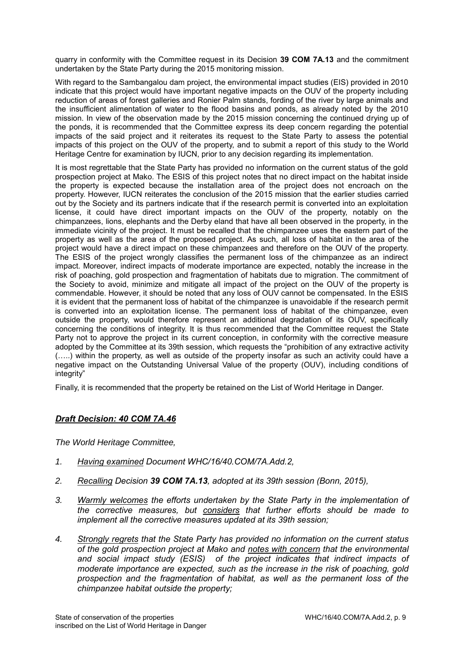quarry in conformity with the Committee request in its Decision **39 COM 7A.13** and the commitment undertaken by the State Party during the 2015 monitoring mission.

With regard to the Sambangalou dam project, the environmental impact studies (EIS) provided in 2010 indicate that this project would have important negative impacts on the OUV of the property including reduction of areas of forest galleries and Ronier Palm stands, fording of the river by large animals and the insufficient alimentation of water to the flood basins and ponds, as already noted by the 2010 mission. In view of the observation made by the 2015 mission concerning the continued drying up of the ponds, it is recommended that the Committee express its deep concern regarding the potential impacts of the said project and it reiterates its request to the State Party to assess the potential impacts of this project on the OUV of the property, and to submit a report of this study to the World Heritage Centre for examination by IUCN, prior to any decision regarding its implementation.

It is most regrettable that the State Party has provided no information on the current status of the gold prospection project at Mako. The ESIS of this project notes that no direct impact on the habitat inside the property is expected because the installation area of the project does not encroach on the property. However, IUCN reiterates the conclusion of the 2015 mission that the earlier studies carried out by the Society and its partners indicate that if the research permit is converted into an exploitation license, it could have direct important impacts on the OUV of the property, notably on the chimpanzees, lions, elephants and the Derby eland that have all been observed in the property, in the immediate vicinity of the project. It must be recalled that the chimpanzee uses the eastern part of the property as well as the area of the proposed project. As such, all loss of habitat in the area of the project would have a direct impact on these chimpanzees and therefore on the OUV of the property. The ESIS of the project wrongly classifies the permanent loss of the chimpanzee as an indirect impact. Moreover, indirect impacts of moderate importance are expected, notably the increase in the risk of poaching, gold prospection and fragmentation of habitats due to migration. The commitment of the Society to avoid, minimize and mitigate all impact of the project on the OUV of the property is commendable. However, it should be noted that any loss of OUV cannot be compensated. In the ESIS it is evident that the permanent loss of habitat of the chimpanzee is unavoidable if the research permit is converted into an exploitation license. The permanent loss of habitat of the chimpanzee, even outside the property, would therefore represent an additional degradation of its OUV, specifically concerning the conditions of integrity. It is thus recommended that the Committee request the State Party not to approve the project in its current conception, in conformity with the corrective measure adopted by the Committee at its 39th session, which requests the "prohibition of any extractive activity (…..) within the property, as well as outside of the property insofar as such an activity could have a negative impact on the Outstanding Universal Value of the property (OUV), including conditions of integrity"

Finally, it is recommended that the property be retained on the List of World Heritage in Danger.

# *Draft Decision: 40 COM 7A.46*

*The World Heritage Committee,* 

- *1. Having examined Document WHC/16/40.COM/7A.Add.2,*
- *2. Recalling Decision 39 COM 7A.13, adopted at its 39th session (Bonn, 2015),*
- *3. Warmly welcomes the efforts undertaken by the State Party in the implementation of the corrective measures, but considers that further efforts should be made to implement all the corrective measures updated at its 39th session;*
- *4. Strongly regrets that the State Party has provided no information on the current status of the gold prospection project at Mako and notes with concern that the environmental and social impact study (ESIS) of the project indicates that indirect impacts of moderate importance are expected, such as the increase in the risk of poaching, gold prospection and the fragmentation of habitat, as well as the permanent loss of the chimpanzee habitat outside the property;*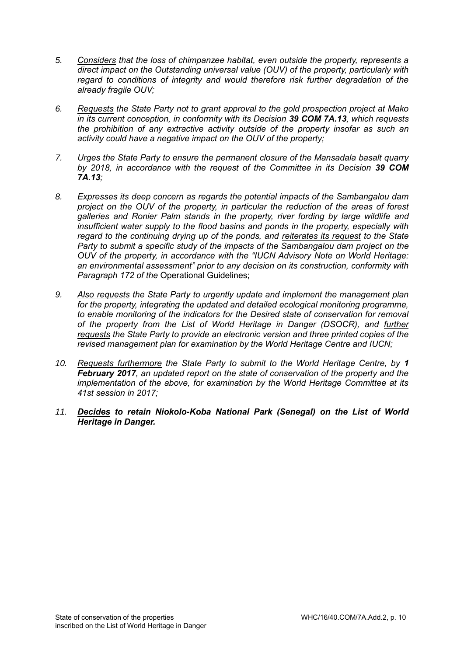- *5. Considers that the loss of chimpanzee habitat, even outside the property, represents a direct impact on the Outstanding universal value (OUV) of the property, particularly with regard to conditions of integrity and would therefore risk further degradation of the already fragile OUV;*
- *6. Requests the State Party not to grant approval to the gold prospection project at Mako in its current conception, in conformity with its Decision 39 COM 7A.13, which requests the prohibition of any extractive activity outside of the property insofar as such an activity could have a negative impact on the OUV of the property;*
- *7. Urges the State Party to ensure the permanent closure of the Mansadala basalt quarry by 2018, in accordance with the request of the Committee in its Decision 39 COM 7A.13;*
- *8. Expresses its deep concern as regards the potential impacts of the Sambangalou dam project on the OUV of the property, in particular the reduction of the areas of forest galleries and Ronier Palm stands in the property, river fording by large wildlife and insufficient water supply to the flood basins and ponds in the property, especially with regard to the continuing drying up of the ponds, and reiterates its request to the State Party to submit a specific study of the impacts of the Sambangalou dam project on the OUV of the property, in accordance with the "IUCN Advisory Note on World Heritage: an environmental assessment" prior to any decision on its construction, conformity with Paragraph 172 of the* Operational Guidelines;
- *9. Also requests the State Party to urgently update and implement the management plan for the property, integrating the updated and detailed ecological monitoring programme, to enable monitoring of the indicators for the Desired state of conservation for removal of the property from the List of World Heritage in Danger (DSOCR), and further requests the State Party to provide an electronic version and three printed copies of the revised management plan for examination by the World Heritage Centre and IUCN;*
- *10. Requests furthermore the State Party to submit to the World Heritage Centre, by 1 February 2017, an updated report on the state of conservation of the property and the implementation of the above, for examination by the World Heritage Committee at its 41st session in 2017;*
- *11. Decides to retain Niokolo-Koba National Park (Senegal) on the List of World Heritage in Danger.*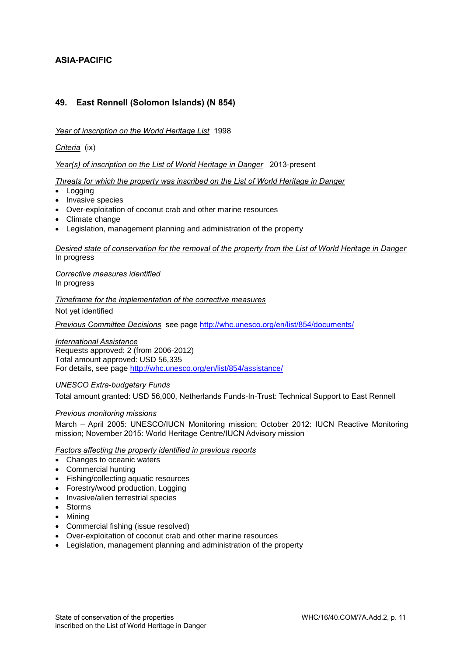# <span id="page-11-0"></span>**ASIA-PACIFIC**

# <span id="page-11-1"></span>**49. East Rennell (Solomon Islands) (N 854)**

#### *Year of inscription on the World Heritage List* 1998

*Criteria* (ix)

#### *Year(s) of inscription on the List of World Heritage in Danger* 2013-present

#### *Threats for which the property was inscribed on the List of World Heritage in Danger*

- Logging
- Invasive species
- Over-exploitation of coconut crab and other marine resources
- Climate change
- Legislation, management planning and administration of the property

#### *Desired state of conservation for the removal of the property from the List of World Heritage in Danger*  In progress

*Corrective measures identified*  In progress

*Timeframe for the implementation of the corrective measures* 

Not yet identified

*Previous Committee Decisions* see page [http://whc.unesco.org/en/list/854/documents/](http://whc.unesco.org/en/list/854/documents)

#### *International Assistance*

Requests approved: 2 (from 2006-2012) Total amount approved: USD 56,335 For details, see page [http://whc.unesco.org/en/list/854/assistance/](http://whc.unesco.org/en/list/854/assistance)

#### *UNESCO Extra-budgetary Funds*

Total amount granted: USD 56,000, Netherlands Funds-In-Trust: Technical Support to East Rennell

#### *Previous monitoring missions*

March – April 2005: UNESCO/IUCN Monitoring mission; October 2012: IUCN Reactive Monitoring mission; November 2015: World Heritage Centre/IUCN Advisory mission

#### *Factors affecting the property identified in previous reports*

- Changes to oceanic waters
- Commercial hunting
- Fishing/collecting aquatic resources
- Forestry/wood production, Logging
- Invasive/alien terrestrial species
- Storms
- Mining
- Commercial fishing (issue resolved)
- Over-exploitation of coconut crab and other marine resources
- Legislation, management planning and administration of the property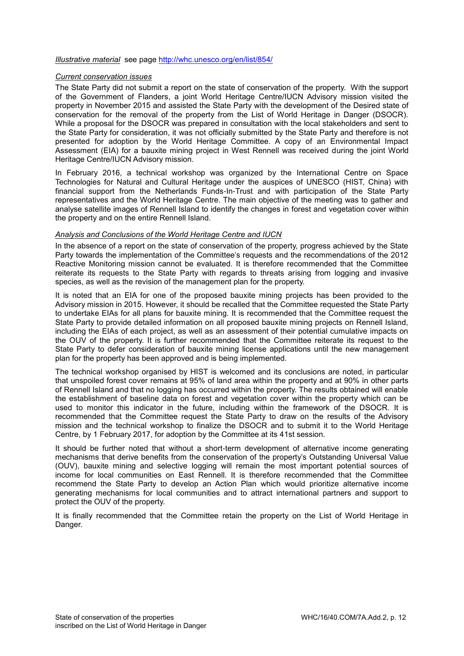#### *Illustrative material* see page<http://whc.unesco.org/en/list/854/>

#### *Current conservation issues*

The State Party did not submit a report on the state of conservation of the property. With the support of the Government of Flanders, a joint World Heritage Centre/IUCN Advisory mission visited the property in November 2015 and assisted the State Party with the development of the Desired state of conservation for the removal of the property from the List of World Heritage in Danger (DSOCR). While a proposal for the DSOCR was prepared in consultation with the local stakeholders and sent to the State Party for consideration, it was not officially submitted by the State Party and therefore is not presented for adoption by the World Heritage Committee. A copy of an Environmental Impact Assessment (EIA) for a bauxite mining project in West Rennell was received during the joint World Heritage Centre/IUCN Advisory mission.

In February 2016, a technical workshop was organized by the International Centre on Space Technologies for Natural and Cultural Heritage under the auspices of UNESCO (HIST, China) with financial support from the Netherlands Funds-In-Trust and with participation of the State Party representatives and the World Heritage Centre. The main objective of the meeting was to gather and analyse satellite images of Rennell Island to identify the changes in forest and vegetation cover within the property and on the entire Rennell Island.

#### *Analysis and Conclusions of the World Heritage Centre and IUCN*

In the absence of a report on the state of conservation of the property, progress achieved by the State Party towards the implementation of the Committee's requests and the recommendations of the 2012 Reactive Monitoring mission cannot be evaluated. It is therefore recommended that the Committee reiterate its requests to the State Party with regards to threats arising from logging and invasive species, as well as the revision of the management plan for the property.

It is noted that an EIA for one of the proposed bauxite mining projects has been provided to the Advisory mission in 2015. However, it should be recalled that the Committee requested the State Party to undertake EIAs for all plans for bauxite mining. It is recommended that the Committee request the State Party to provide detailed information on all proposed bauxite mining projects on Rennell Island, including the EIAs of each project, as well as an assessment of their potential cumulative impacts on the OUV of the property. It is further recommended that the Committee reiterate its request to the State Party to defer consideration of bauxite mining license applications until the new management plan for the property has been approved and is being implemented.

The technical workshop organised by HIST is welcomed and its conclusions are noted, in particular that unspoiled forest cover remains at 95% of land area within the property and at 90% in other parts of Rennell Island and that no logging has occurred within the property. The results obtained will enable the establishment of baseline data on forest and vegetation cover within the property which can be used to monitor this indicator in the future, including within the framework of the DSOCR. It is recommended that the Committee request the State Party to draw on the results of the Advisory mission and the technical workshop to finalize the DSOCR and to submit it to the World Heritage Centre, by 1 February 2017, for adoption by the Committee at its 41st session.

It should be further noted that without a short-term development of alternative income generating mechanisms that derive benefits from the conservation of the property's Outstanding Universal Value (OUV), bauxite mining and selective logging will remain the most important potential sources of income for local communities on East Rennell. It is therefore recommended that the Committee recommend the State Party to develop an Action Plan which would prioritize alternative income generating mechanisms for local communities and to attract international partners and support to protect the OUV of the property.

It is finally recommended that the Committee retain the property on the List of World Heritage in Danger.